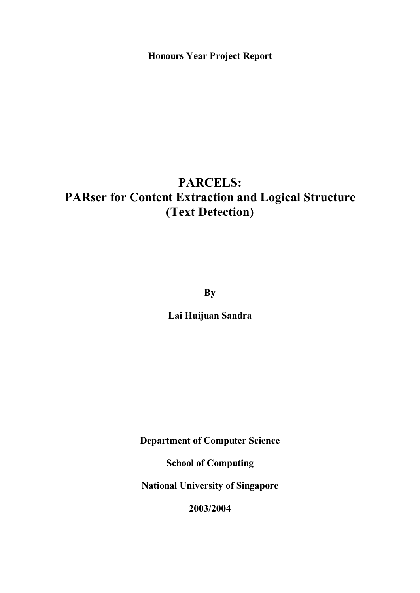**Honours Year Project Report**

# **PARCELS: PARser for Content Extraction and Logical Structure (Text Detection)**

**By**

**Lai Huijuan Sandra**

**Department of Computer Science**

**School of Computing**

**National University of Singapore**

**2003/2004**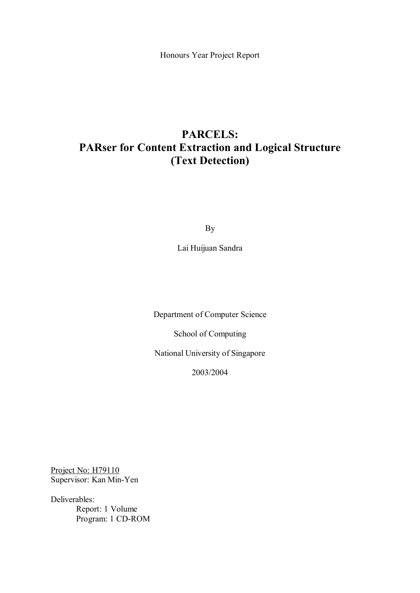Honours Year Project Report

## **PARCELS: PARser for Content Extraction and Logical Structure (Text Detection)**

By

Lai Huijuan Sandra

Department of Computer Science

School of Computing

National University of Singapore

2003/2004

Project No: H79110 Supervisor: Kan Min-Yen

Deliverables: Report: 1 Volume Program: 1 CD-ROM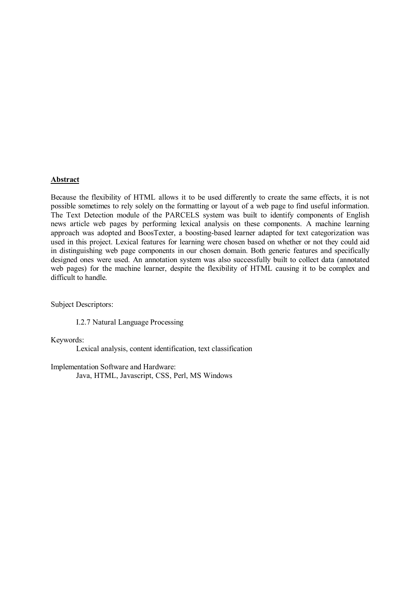#### **Abstract**

Because the flexibility of HTML allows it to be used differently to create the same effects, it is not possible sometimes to rely solely on the formatting or layout of a web page to find useful information. The Text Detection module of the PARCELS system was built to identify components of English news article web pages by performing lexical analysis on these components. A machine learning approach was adopted and BoosTexter, a boosting-based learner adapted for text categorization was used in this project. Lexical features for learning were chosen based on whether or not they could aid in distinguishing web page components in our chosen domain. Both generic features and specifically designed ones were used. An annotation system was also successfully built to collect data (annotated web pages) for the machine learner, despite the flexibility of HTML causing it to be complex and difficult to handle.

Subject Descriptors:

I.2.7 Natural Language Processing

Keywords:

Lexical analysis, content identification, text classification

Implementation Software and Hardware: Java, HTML, Javascript, CSS, Perl, MS Windows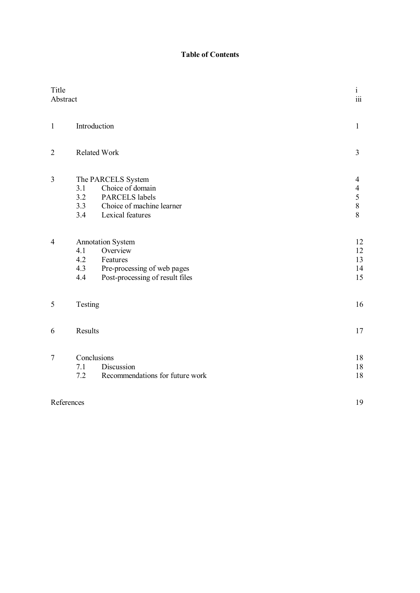### **Table of Contents**

| Title<br>Abstract |                          |                                                                                                             | $\mathbf{i}$<br>$\overline{\text{iii}}$ |
|-------------------|--------------------------|-------------------------------------------------------------------------------------------------------------|-----------------------------------------|
| $\mathbf{1}$      |                          | Introduction                                                                                                | $\mathbf{1}$                            |
| $\overline{2}$    |                          | <b>Related Work</b>                                                                                         | $\overline{3}$                          |
| 3                 | 3.1<br>3.2<br>3.3<br>3.4 | The PARCELS System<br>Choice of domain<br>PARCELS labels<br>Choice of machine learner<br>Lexical features   | 4<br>$\overline{4}$<br>5<br>$8\,$<br>8  |
| $\overline{4}$    | 4.1<br>4.2<br>4.3<br>4.4 | Annotation System<br>Overview<br>Features<br>Pre-processing of web pages<br>Post-processing of result files | 12<br>12<br>13<br>14<br>15              |
| $\mathfrak s$     | Testing                  |                                                                                                             | 16                                      |
| 6                 | Results                  |                                                                                                             | 17                                      |
| $\overline{7}$    | 7.1<br>7.2               | Conclusions<br>Discussion<br>Recommendations for future work                                                | 18<br>$18\,$<br>18                      |
|                   | References               |                                                                                                             | 19                                      |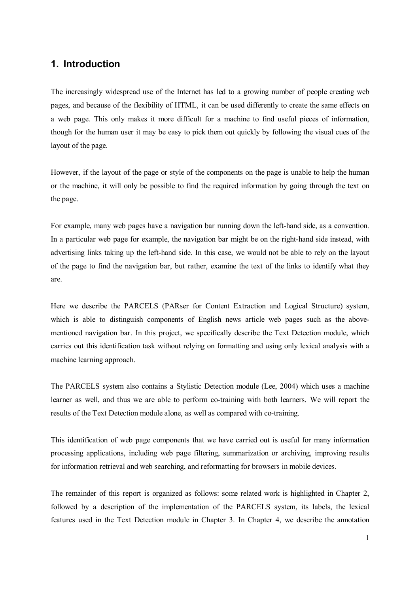## **1. Introduction**

The increasingly widespread use of the Internet has led to a growing number of people creating web pages, and because of the flexibility of HTML, it can be used differently to create the same effects on a web page. This only makes it more difficult for a machine to find useful pieces of information, though for the human user it may be easy to pick them out quickly by following the visual cues of the layout of the page.

However, if the layout of the page or style of the components on the page is unable to help the human or the machine, it will only be possible to find the required information by going through the text on the page.

For example, many web pages have a navigation bar running down the left-hand side, as a convention. In a particular web page for example, the navigation bar might be on the right-hand side instead, with advertising links taking up the left-hand side. In this case, we would not be able to rely on the layout of the page to find the navigation bar, but rather, examine the text of the links to identify what they are.

Here we describe the PARCELS (PARser for Content Extraction and Logical Structure) system, which is able to distinguish components of English news article web pages such as the abovementioned navigation bar. In this project, we specifically describe the Text Detection module, which carries out this identification task without relying on formatting and using only lexical analysis with a machine learning approach.

The PARCELS system also contains a Stylistic Detection module (Lee, 2004) which uses a machine learner as well, and thus we are able to perform co-training with both learners. We will report the results of the Text Detection module alone, as well as compared with co-training.

This identification of web page components that we have carried out is useful for many information processing applications, including web page filtering, summarization or archiving, improving results for information retrieval and web searching, and reformatting for browsers in mobile devices.

The remainder of this report is organized as follows: some related work is highlighted in Chapter 2, followed by a description of the implementation of the PARCELS system, its labels, the lexical features used in the Text Detection module in Chapter 3. In Chapter 4, we describe the annotation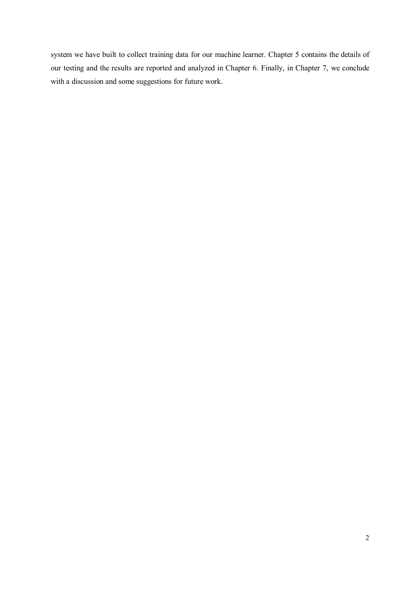system we have built to collect training data for our machine learner. Chapter 5 contains the details of our testing and the results are reported and analyzed in Chapter 6. Finally, in Chapter 7, we conclude with a discussion and some suggestions for future work.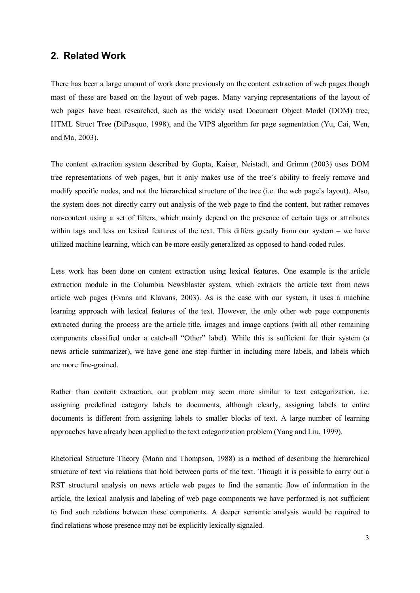### **2. Related Work**

There has been a large amount of work done previously on the content extraction of web pages though most of these are based on the layout of web pages. Many varying representations of the layout of web pages have been researched, such as the widely used Document Object Model (DOM) tree, HTML Struct Tree (DiPasquo, 1998), and the VIPS algorithm for page segmentation (Yu, Cai, Wen, and Ma, 2003).

The content extraction system described by Gupta, Kaiser, Neistadt, and Grimm (2003) uses DOM tree representations of web pages, but it only makes use of the tree's ability to freely remove and modify specific nodes, and not the hierarchical structure of the tree (i.e. the web page's layout). Also, the system does not directly carry out analysis of the web page to find the content, but rather removes non-content using a set of filters, which mainly depend on the presence of certain tags or attributes within tags and less on lexical features of the text. This differs greatly from our system – we have utilized machine learning, which can be more easily generalized as opposed to hand-coded rules.

Less work has been done on content extraction using lexical features. One example is the article extraction module in the Columbia Newsblaster system, which extracts the article text from news article web pages (Evans and Klavans, 2003). As is the case with our system, it uses a machine learning approach with lexical features of the text. However, the only other web page components extracted during the process are the article title, images and image captions (with all other remaining components classified under a catch-all "Other" label). While this is sufficient for their system (a news article summarizer), we have gone one step further in including more labels, and labels which are more fine-grained.

Rather than content extraction, our problem may seem more similar to text categorization, i.e. assigning predefined category labels to documents, although clearly, assigning labels to entire documents is different from assigning labels to smaller blocks of text. A large number of learning approaches have already been applied to the text categorization problem (Yang and Liu, 1999).

Rhetorical Structure Theory (Mann and Thompson, 1988) is a method of describing the hierarchical structure of text via relations that hold between parts of the text. Though it is possible to carry out a RST structural analysis on news article web pages to find the semantic flow of information in the article, the lexical analysis and labeling of web page components we have performed is not sufficient to find such relations between these components. A deeper semantic analysis would be required to find relations whose presence may not be explicitly lexically signaled.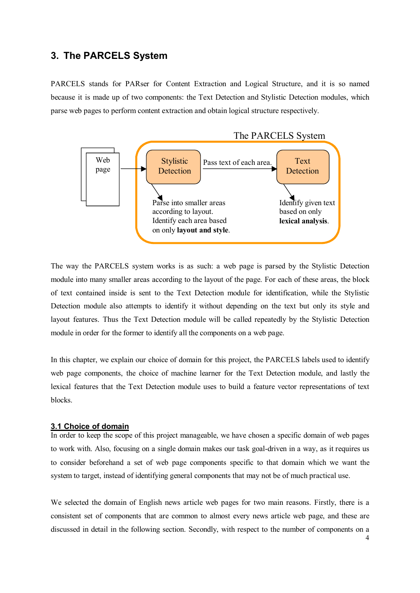## **3. The PARCELS System**

PARCELS stands for PARser for Content Extraction and Logical Structure, and it is so named because it is made up of two components: the Text Detection and Stylistic Detection modules, which parse web pages to perform content extraction and obtain logical structure respectively.



The way the PARCELS system works is as such: a web page is parsed by the Stylistic Detection module into many smaller areas according to the layout of the page. For each of these areas, the block of text contained inside is sent to the Text Detection module for identification, while the Stylistic Detection module also attempts to identify it without depending on the text but only its style and layout features. Thus the Text Detection module will be called repeatedly by the Stylistic Detection module in order for the former to identify all the components on a web page.

In this chapter, we explain our choice of domain for this project, the PARCELS labels used to identify web page components, the choice of machine learner for the Text Detection module, and lastly the lexical features that the Text Detection module uses to build a feature vector representations of text blocks.

#### **3.1 Choice of domain**

In order to keep the scope of this project manageable, we have chosen a specific domain of web pages to work with. Also, focusing on a single domain makes our task goal-driven in a way, as it requires us to consider beforehand a set of web page components specific to that domain which we want the system to target, instead of identifying general components that may not be of much practical use.

We selected the domain of English news article web pages for two main reasons. Firstly, there is a consistent set of components that are common to almost every news article web page, and these are discussed in detail in the following section. Secondly, with respect to the number of components on a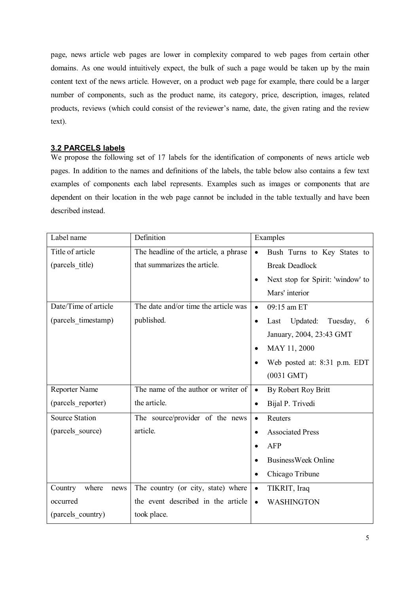page, news article web pages are lower in complexity compared to web pages from certain other domains. As one would intuitively expect, the bulk of such a page would be taken up by the main content text of the news article. However, on a product web page for example, there could be a larger number of components, such as the product name, its category, price, description, images, related products, reviews (which could consist of the reviewer's name, date, the given rating and the review text).

#### **3.2 PARCELS labels**

We propose the following set of 17 labels for the identification of components of news article web pages. In addition to the names and definitions of the labels, the table below also contains a few text examples of components each label represents. Examples such as images or components that are dependent on their location in the web page cannot be included in the table textually and have been described instead.

| Label name               | Definition                            |           | Examples                          |  |
|--------------------------|---------------------------------------|-----------|-----------------------------------|--|
| Title of article         | The headline of the article, a phrase | $\bullet$ | Bush Turns to Key States to       |  |
| (parcels_title)          | that summarizes the article.          |           | <b>Break Deadlock</b>             |  |
|                          |                                       | ٠         | Next stop for Spirit: 'window' to |  |
|                          |                                       |           | Mars' interior                    |  |
| Date/Time of article     | The date and/or time the article was  | $\bullet$ | 09:15 am ET                       |  |
| (parcels timestamp)      | published.                            | $\bullet$ | Updated:<br>Tuesday,<br>Last<br>6 |  |
|                          |                                       |           | January, 2004, 23:43 GMT          |  |
|                          |                                       | $\bullet$ | MAY 11, 2000                      |  |
|                          |                                       |           | Web posted at: 8:31 p.m. EDT      |  |
|                          |                                       |           | $(0031 \text{ GMT})$              |  |
| Reporter Name            | The name of the author or writer of   | $\bullet$ | By Robert Roy Britt               |  |
| (parcels reporter)       | the article.                          | $\bullet$ | Bijal P. Trivedi                  |  |
| <b>Source Station</b>    | The source/provider of the news       | $\bullet$ | Reuters                           |  |
| (parcels source)         | article.                              | $\bullet$ | <b>Associated Press</b>           |  |
|                          |                                       |           | <b>AFP</b>                        |  |
|                          |                                       |           | <b>BusinessWeek Online</b>        |  |
|                          |                                       | $\bullet$ | Chicago Tribune                   |  |
| where<br>Country<br>news | The country (or city, state) where    | $\bullet$ | TIKRIT, Iraq                      |  |
| occurred                 | the event described in the article    | $\bullet$ | <b>WASHINGTON</b>                 |  |
| (parcels country)        | took place.                           |           |                                   |  |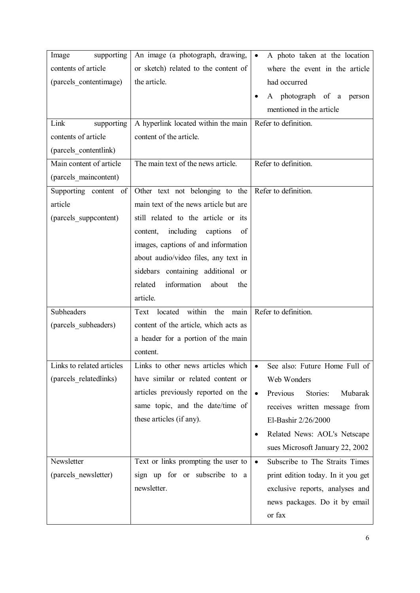| An image (a photograph, drawing,         | A photo taken at the location<br>$\bullet$   |
|------------------------------------------|----------------------------------------------|
| or sketch) related to the content of     | where the event in the article               |
| the article.                             | had occurred                                 |
|                                          | A photograph of a<br>person<br>٠             |
|                                          | mentioned in the article                     |
| A hyperlink located within the main      | Refer to definition.                         |
| content of the article.                  |                                              |
|                                          |                                              |
| The main text of the news article.       | Refer to definition.                         |
|                                          |                                              |
| Other text not belonging to the          | Refer to definition.                         |
| main text of the news article but are    |                                              |
| still related to the article or its      |                                              |
| including<br>captions<br>content,<br>of  |                                              |
| images, captions of and information      |                                              |
| about audio/video files, any text in     |                                              |
| sidebars containing additional or        |                                              |
| information<br>related<br>about<br>the   |                                              |
| article.                                 |                                              |
| within<br>Text<br>located<br>the<br>main | Refer to definition.                         |
| content of the article, which acts as    |                                              |
| a header for a portion of the main       |                                              |
| content.                                 |                                              |
| Links to other news articles which       | See also: Future Home Full of                |
| have similar or related content or       | Web Wonders                                  |
| articles previously reported on the      | Previous<br>Mubarak<br>Stories:<br>$\bullet$ |
| same topic, and the date/time of         | receives written message from                |
| these articles (if any).                 | El-Bashir 2/26/2000                          |
|                                          | Related News: AOL's Netscape<br>٠            |
|                                          | sues Microsoft January 22, 2002              |
| Text or links prompting the user to      | Subscribe to The Straits Times<br>$\bullet$  |
| sign up for or subscribe to a            | print edition today. In it you get           |
| newsletter.                              | exclusive reports, analyses and              |
|                                          | news packages. Do it by email                |
|                                          | or fax                                       |
|                                          |                                              |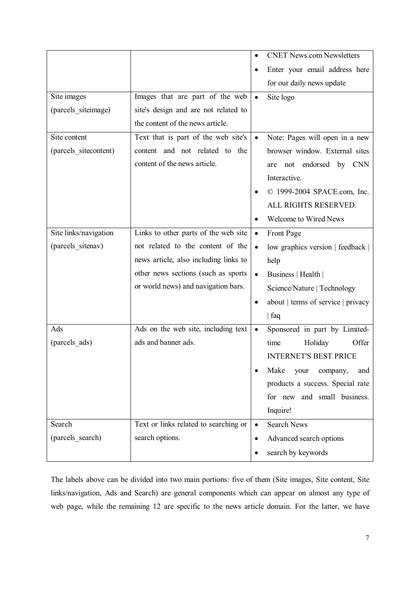|                       |                                       |           | <b>CNET News.com Newsletters</b>   |
|-----------------------|---------------------------------------|-----------|------------------------------------|
|                       |                                       |           | Enter your email address here      |
|                       |                                       |           | for our daily news update          |
| Site images           | Images that are part of the web       | $\bullet$ | Site logo                          |
| (parcels siteimage)   | site's design and are not related to  |           |                                    |
|                       | the content of the news article.      |           |                                    |
| Site content          | Text that is part of the web site's   | $\bullet$ | Note: Pages will open in a new     |
| (parcels sitecontent) | content and not related to the        |           | browser window. External sites     |
|                       | content of the news article.          |           | endorsed by CNN<br>not<br>are      |
|                       |                                       |           | Interactive.                       |
|                       |                                       |           | © 1999-2004 SPACE.com, Inc.        |
|                       |                                       |           | ALL RIGHTS RESERVED.               |
|                       |                                       |           | Welcome to Wired News              |
| Site links/navigation | Links to other parts of the web site  | $\bullet$ | Front Page                         |
| (parcels sitenav)     | not related to the content of the     | $\bullet$ | low graphics version   feedback    |
|                       | news article, also including links to |           | help                               |
|                       | other news sections (such as sports   | $\bullet$ | Business   Health                  |
|                       | or world news) and navigation bars.   |           | Science/Nature   Technology        |
|                       |                                       | ٠         | about   terms of service   privacy |
|                       |                                       |           | faq                                |
| Ads                   | Ads on the web site, including text   | $\bullet$ | Sponsored in part by Limited-      |
| (parcels ads)         | ads and banner ads.                   |           | Offer<br>Holiday<br>time           |
|                       |                                       |           | <b>INTERNET'S BEST PRICE</b>       |
|                       |                                       |           | Make<br>your<br>company,<br>and    |
|                       |                                       |           | products a success. Special rate   |
|                       |                                       |           | for new and small business.        |
|                       |                                       |           | Inquire!                           |
| Search                | Text or links related to searching or | $\bullet$ | <b>Search News</b>                 |
| (parcels_search)      | search options.                       | ٠         | Advanced search options            |
|                       |                                       |           | search by keywords                 |

The labels above can be divided into two main portions: five of them (Site images, Site content, Site links/navigation, Ads and Search) are general components which can appear on almost any type of web page, while the remaining 12 are specific to the news article domain. For the latter, we have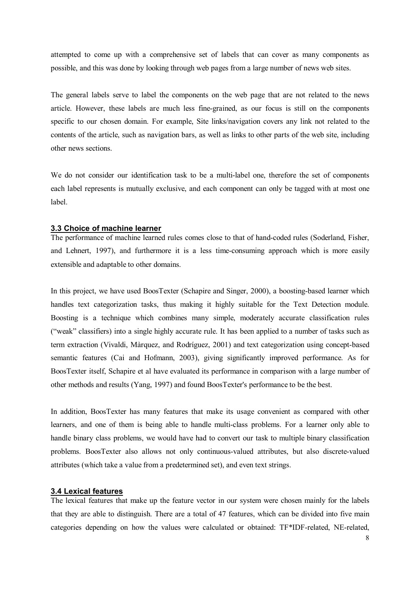attempted to come up with a comprehensive set of labels that can cover as many components as possible, and this was done by looking through web pages from a large number of news web sites.

The general labels serve to label the components on the web page that are not related to the news article. However, these labels are much less fine-grained, as our focus is still on the components specific to our chosen domain. For example, Site links/navigation covers any link not related to the contents of the article, such as navigation bars, as well as links to other parts of the web site, including other news sections.

We do not consider our identification task to be a multi-label one, therefore the set of components each label represents is mutually exclusive, and each component can only be tagged with at most one label.

#### **3.3 Choice of machine learner**

The performance of machine learned rules comes close to that of hand-coded rules (Soderland, Fisher, and Lehnert, 1997), and furthermore it is a less time-consuming approach which is more easily extensible and adaptable to other domains.

In this project, we have used BoosTexter (Schapire and Singer, 2000), a boosting-based learner which handles text categorization tasks, thus making it highly suitable for the Text Detection module. Boosting is a technique which combines many simple, moderately accurate classification rules ("weak" classifiers) into a single highly accurate rule. It has been applied to a number of tasks such as term extraction (Vivaldi, Màrquez, and Rodríguez, 2001) and text categorization using concept-based semantic features (Cai and Hofmann, 2003), giving significantly improved performance. As for BoosTexter itself, Schapire et al have evaluated its performance in comparison with a large number of other methods and results (Yang, 1997) and found BoosTexter's performance to be the best.

In addition, BoosTexter has many features that make its usage convenient as compared with other learners, and one of them is being able to handle multi-class problems. For a learner only able to handle binary class problems, we would have had to convert our task to multiple binary classification problems. BoosTexter also allows not only continuous-valued attributes, but also discrete-valued attributes (which take a value from a predetermined set), and even text strings.

#### **3.4 Lexical features**

The lexical features that make up the feature vector in our system were chosen mainly for the labels that they are able to distinguish. There are a total of 47 features, which can be divided into five main categories depending on how the values were calculated or obtained: TF\*IDF-related, NE-related,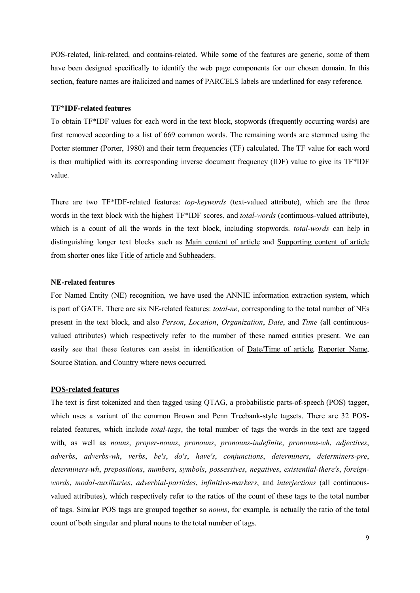POS-related, link-related, and contains-related. While some of the features are generic, some of them have been designed specifically to identify the web page components for our chosen domain. In this section, feature names are italicized and names of PARCELS labels are underlined for easy reference.

#### **TF\*IDF-related features**

To obtain TF\*IDF values for each word in the text block, stopwords (frequently occurring words) are first removed according to a list of 669 common words. The remaining words are stemmed using the Porter stemmer (Porter, 1980) and their term frequencies (TF) calculated. The TF value for each word is then multiplied with its corresponding inverse document frequency (IDF) value to give its TF\*IDF value.

There are two TF\*IDF-related features: *top-keywords* (text-valued attribute), which are the three words in the text block with the highest TF\*IDF scores, and *total-words* (continuous-valued attribute), which is a count of all the words in the text block, including stopwords. *total-words* can help in distinguishing longer text blocks such as Main content of article and Supporting content of article from shorter ones like Title of article and Subheaders.

#### **NE-related features**

For Named Entity (NE) recognition, we have used the ANNIE information extraction system, which is part of GATE. There are six NE-related features: *total-ne*, corresponding to the total number of NEs present in the text block, and also *Person*, *Location*, *Organization*, *Date*, and *Time* (all continuousvalued attributes) which respectively refer to the number of these named entities present. We can easily see that these features can assist in identification of Date/Time of article, Reporter Name, Source Station, and Country where news occurred.

#### **POS-related features**

The text is first tokenized and then tagged using QTAG, a probabilistic parts-of-speech (POS) tagger, which uses a variant of the common Brown and Penn Treebank-style tagsets. There are 32 POSrelated features, which include *total-tags*, the total number of tags the words in the text are tagged with, as well as *nouns*, *proper-nouns*, *pronouns*, *pronouns-indefinite*, *pronouns-wh*, *adjectives*, *adverbs*, *adverbs-wh*, *verbs*, *be's*, *do's*, *have's*, *conjunctions*, *determiners*, *determiners-pre*, *determiners-wh*, *prepositions*, *numbers*, *symbols*, *possessives*, *negatives*, *existential-there's*, *foreignwords*, *modal-auxiliaries*, *adverbial-particles*, *infinitive-markers*, and *interjections* (all continuousvalued attributes), which respectively refer to the ratios of the count of these tags to the total number of tags. Similar POS tags are grouped together so *nouns*, for example, is actually the ratio of the total count of both singular and plural nouns to the total number of tags.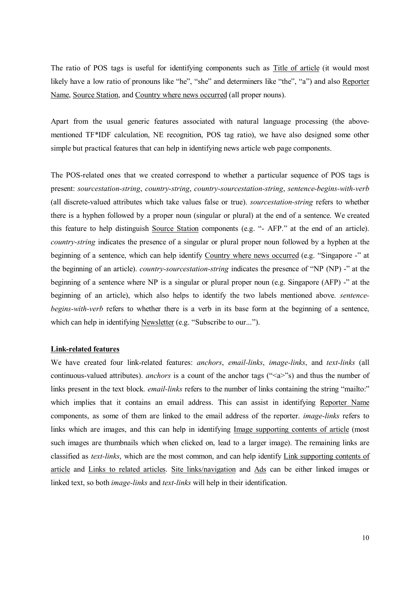The ratio of POS tags is useful for identifying components such as Title of article (it would most likely have a low ratio of pronouns like "he", "she" and determiners like "the", "a") and also Reporter Name, Source Station, and Country where news occurred (all proper nouns).

Apart from the usual generic features associated with natural language processing (the abovementioned TF\*IDF calculation, NE recognition, POS tag ratio), we have also designed some other simple but practical features that can help in identifying news article web page components.

The POS-related ones that we created correspond to whether a particular sequence of POS tags is present: *sourcestation-string*, *country-string*, *country-sourcestation-string*, *sentence-begins-with-verb* (all discrete-valued attributes which take values false or true). *sourcestation-string* refers to whether there is a hyphen followed by a proper noun (singular or plural) at the end of a sentence. We created this feature to help distinguish Source Station components (e.g. "- AFP." at the end of an article). *country-string* indicates the presence of a singular or plural proper noun followed by a hyphen at the beginning of a sentence, which can help identify Country where news occurred (e.g. "Singapore -" at the beginning of an article). *country-sourcestation-string* indicates the presence of "NP (NP) -" at the beginning of a sentence where NP is a singular or plural proper noun (e.g. Singapore (AFP) -" at the beginning of an article), which also helps to identify the two labels mentioned above. *sentencebegins-with-verb* refers to whether there is a verb in its base form at the beginning of a sentence, which can help in identifying Newsletter (e.g. "Subscribe to our...").

#### **Link-related features**

We have created four link-related features: *anchors*, *email-links*, *image-links*, and *text-links* (all continuous-valued attributes). *anchors* is a count of the anchor tags ("<a>"s) and thus the number of links present in the text block. *email-links* refers to the number of links containing the string "mailto:" which implies that it contains an email address. This can assist in identifying Reporter Name components, as some of them are linked to the email address of the reporter. *image-links* refers to links which are images, and this can help in identifying Image supporting contents of article (most such images are thumbnails which when clicked on, lead to a larger image). The remaining links are classified as *text-links*, which are the most common, and can help identify Link supporting contents of article and Links to related articles. Site links/navigation and Ads can be either linked images or linked text, so both *image-links* and *text-links* will help in their identification.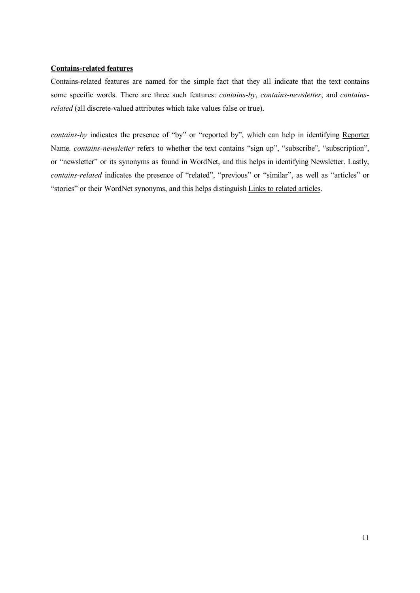#### **Contains-related features**

Contains-related features are named for the simple fact that they all indicate that the text contains some specific words. There are three such features: *contains-by*, *contains-newsletter*, and *containsrelated* (all discrete-valued attributes which take values false or true).

*contains-by* indicates the presence of "by" or "reported by", which can help in identifying Reporter Name. *contains-newsletter* refers to whether the text contains "sign up", "subscribe", "subscription", or "newsletter" or its synonyms as found in WordNet, and this helps in identifying Newsletter. Lastly, *contains-related* indicates the presence of "related", "previous" or "similar", as well as "articles" or "stories" or their WordNet synonyms, and this helps distinguish Links to related articles.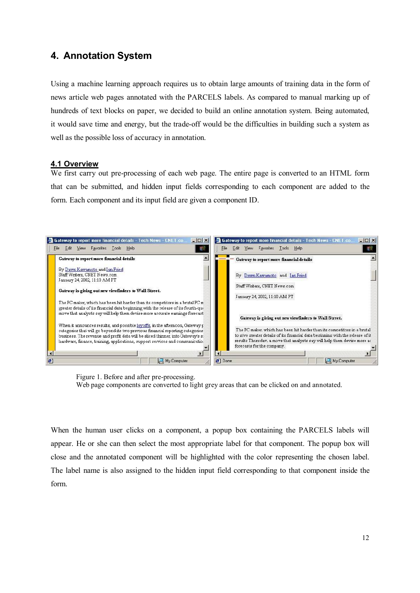## **4. Annotation System**

Using a machine learning approach requires us to obtain large amounts of training data in the form of news article web pages annotated with the PARCELS labels. As compared to manual marking up of hundreds of text blocks on paper, we decided to build an online annotation system. Being automated, it would save time and energy, but the trade-off would be the difficulties in building such a system as well as the possible loss of accuracy in annotation.

#### **4.1 Overview**

We first carry out pre-processing of each web page. The entire page is converted to an HTML form that can be submitted, and hidden input fields corresponding to each component are added to the form. Each component and its input field are given a component ID.



Figure 1. Before and after pre-processing. Web page components are converted to light grey areas that can be clicked on and annotated.

When the human user clicks on a component, a popup box containing the PARCELS labels will appear. He or she can then select the most appropriate label for that component. The popup box will close and the annotated component will be highlighted with the color representing the chosen label. The label name is also assigned to the hidden input field corresponding to that component inside the form.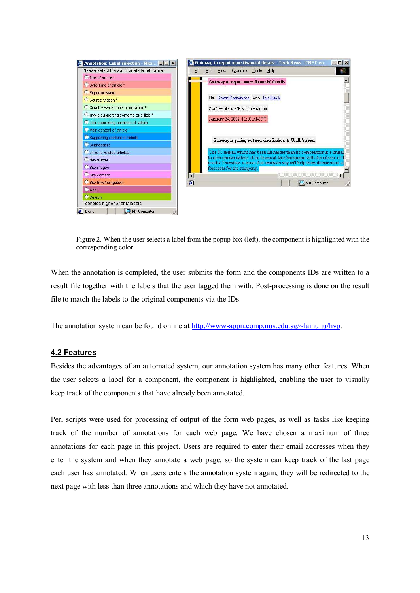

Figure 2. When the user selects a label from the popup box (left), the component is highlighted with the corresponding color.

When the annotation is completed, the user submits the form and the components IDs are written to a result file together with the labels that the user tagged them with. Post-processing is done on the result file to match the labels to the original components via the IDs.

The annotation system can be found online at http://www-appn.comp.nus.edu.sg/~laihuiju/hyp.

#### **4.2 Features**

Besides the advantages of an automated system, our annotation system has many other features. When the user selects a label for a component, the component is highlighted, enabling the user to visually keep track of the components that have already been annotated.

Perl scripts were used for processing of output of the form web pages, as well as tasks like keeping track of the number of annotations for each web page. We have chosen a maximum of three annotations for each page in this project. Users are required to enter their email addresses when they enter the system and when they annotate a web page, so the system can keep track of the last page each user has annotated. When users enters the annotation system again, they will be redirected to the next page with less than three annotations and which they have not annotated.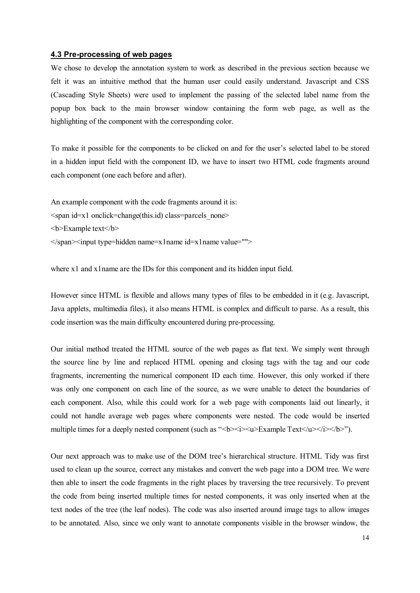#### **4.3 Pre-processing of web pages**

We chose to develop the annotation system to work as described in the previous section because we felt it was an intuitive method that the human user could easily understand. Javascript and CSS (Cascading Style Sheets) were used to implement the passing of the selected label name from the popup box back to the main browser window containing the form web page, as well as the highlighting of the component with the corresponding color.

To make it possible for the components to be clicked on and for the user's selected label to be stored in a hidden input field with the component ID, we have to insert two HTML code fragments around each component (one each before and after).

An example component with the code fragments around it is:  $\epsilon$ span id=x1 onclick=change(this.id) class=parcels none> <b>Example text</b> </span><input type=hidden name=x1name id=x1name value="">

where x1 and x1name are the IDs for this component and its hidden input field.

However since HTML is flexible and allows many types of files to be embedded in it (e.g. Javascript, Java applets, multimedia files), it also means HTML is complex and difficult to parse. As a result, this code insertion was the main difficulty encountered during pre-processing.

Our initial method treated the HTML source of the web pages as flat text. We simply went through the source line by line and replaced HTML opening and closing tags with the tag and our code fragments, incrementing the numerical component ID each time. However, this only worked if there was only one component on each line of the source, as we were unable to detect the boundaries of each component. Also, while this could work for a web page with components laid out linearly, it could not handle average web pages where components were nested. The code would be inserted multiple times for a deeply nested component (such as "*s*b> $\langle$ i> $\langle$ u>Example Text $\langle$ u> $\langle$ i> $\langle$ b>").

Our next approach was to make use of the DOM tree's hierarchical structure. HTML Tidy was first used to clean up the source, correct any mistakes and convert the web page into a DOM tree. We were then able to insert the code fragments in the right places by traversing the tree recursively. To prevent the code from being inserted multiple times for nested components, it was only inserted when at the text nodes of the tree (the leaf nodes). The code was also inserted around image tags to allow images to be annotated. Also, since we only want to annotate components visible in the browser window, the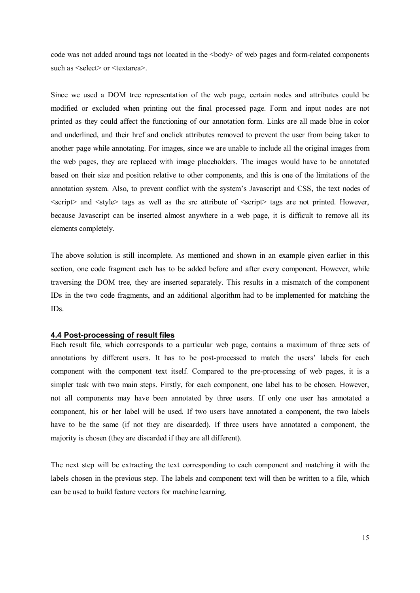code was not added around tags not located in the  $\langle \text{body} \rangle$  of web pages and form-related components such as  $\le$ select $>$  or  $\le$ textarea $>$ .

Since we used a DOM tree representation of the web page, certain nodes and attributes could be modified or excluded when printing out the final processed page. Form and input nodes are not printed as they could affect the functioning of our annotation form. Links are all made blue in color and underlined, and their href and onclick attributes removed to prevent the user from being taken to another page while annotating. For images, since we are unable to include all the original images from the web pages, they are replaced with image placeholders. The images would have to be annotated based on their size and position relative to other components, and this is one of the limitations of the annotation system. Also, to prevent conflict with the system's Javascript and CSS, the text nodes of  $\le$ script $\ge$  and  $\le$ style $\ge$  tags as well as the src attribute of  $\le$ script $\ge$  tags are not printed. However, because Javascript can be inserted almost anywhere in a web page, it is difficult to remove all its elements completely.

The above solution is still incomplete. As mentioned and shown in an example given earlier in this section, one code fragment each has to be added before and after every component. However, while traversing the DOM tree, they are inserted separately. This results in a mismatch of the component IDs in the two code fragments, and an additional algorithm had to be implemented for matching the IDs.

#### **4.4 Post-processing of result files**

Each result file, which corresponds to a particular web page, contains a maximum of three sets of annotations by different users. It has to be post-processed to match the users' labels for each component with the component text itself. Compared to the pre-processing of web pages, it is a simpler task with two main steps. Firstly, for each component, one label has to be chosen. However, not all components may have been annotated by three users. If only one user has annotated a component, his or her label will be used. If two users have annotated a component, the two labels have to be the same (if not they are discarded). If three users have annotated a component, the majority is chosen (they are discarded if they are all different).

The next step will be extracting the text corresponding to each component and matching it with the labels chosen in the previous step. The labels and component text will then be written to a file, which can be used to build feature vectors for machine learning.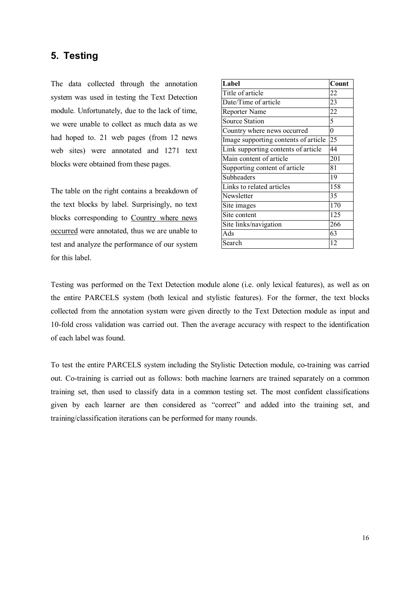## **5. Testing**

The data collected through the annotation system was used in testing the Text Detection module. Unfortunately, due to the lack of time, we were unable to collect as much data as we had hoped to. 21 web pages (from 12 news web sites) were annotated and 1271 text blocks were obtained from these pages.

The table on the right contains a breakdown of the text blocks by label. Surprisingly, no text blocks corresponding to Country where news occurred were annotated, thus we are unable to test and analyze the performance of our system for this label.

| Label                                | Count            |
|--------------------------------------|------------------|
| Title of article                     | 22               |
| Date/Time of article                 | 23               |
| Reporter Name                        | 22               |
| <b>Source Station</b>                | 5                |
| Country where news occurred          | $\boldsymbol{0}$ |
| Image supporting contents of article | 25               |
| Link supporting contents of article  | 44               |
| Main content of article              | 201              |
| Supporting content of article        | 81               |
| Subheaders                           | 19               |
| Links to related articles            | 158              |
| Newsletter                           | 35               |
| Site images                          | 170              |
| Site content                         | 125              |
| Site links/navigation                | 266              |
| Ads                                  | 63               |
| Search                               | 12               |

Testing was performed on the Text Detection module alone (i.e. only lexical features), as well as on the entire PARCELS system (both lexical and stylistic features). For the former, the text blocks collected from the annotation system were given directly to the Text Detection module as input and 10-fold cross validation was carried out. Then the average accuracy with respect to the identification of each label was found.

To test the entire PARCELS system including the Stylistic Detection module, co-training was carried out. Co-training is carried out as follows: both machine learners are trained separately on a common training set, then used to classify data in a common testing set. The most confident classifications given by each learner are then considered as "correct" and added into the training set, and training/classification iterations can be performed for many rounds.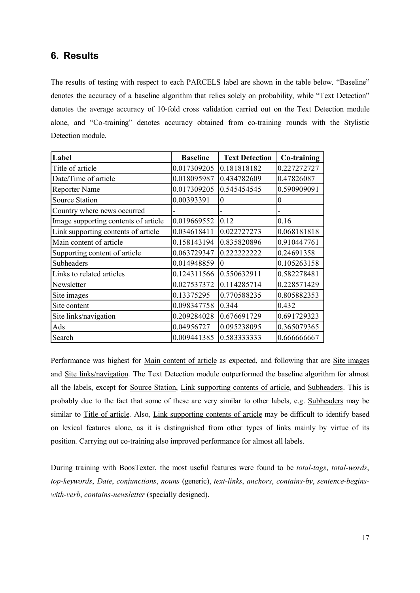## **6. Results**

The results of testing with respect to each PARCELS label are shown in the table below. "Baseline" denotes the accuracy of a baseline algorithm that relies solely on probability, while "Text Detection" denotes the average accuracy of 10-fold cross validation carried out on the Text Detection module alone, and "Co-training" denotes accuracy obtained from co-training rounds with the Stylistic Detection module.

| Label                                | <b>Baseline</b> | <b>Text Detection</b> | Co-training |  |
|--------------------------------------|-----------------|-----------------------|-------------|--|
| Title of article                     | 0.017309205     | 0.181818182           | 0.227272727 |  |
| Date/Time of article                 | 0.018095987     | 0.434782609           | 0.47826087  |  |
| <b>Reporter Name</b>                 | 0.017309205     | 0.545454545           | 0.590909091 |  |
| <b>Source Station</b>                | 0.00393391      | $\theta$              | $\theta$    |  |
| Country where news occurred          |                 |                       |             |  |
| Image supporting contents of article | 0.019669552     | 0.12                  | 0.16        |  |
| Link supporting contents of article  | 0.034618411     | 0.022727273           | 0.068181818 |  |
| Main content of article              | 0.158143194     | 0.835820896           | 0.910447761 |  |
| Supporting content of article        | 0.063729347     | 0.222222222           | 0.24691358  |  |
| Subheaders                           | 0.014948859     | 0                     | 0.105263158 |  |
| Links to related articles            | 0.124311566     | 0.550632911           | 0.582278481 |  |
| Newsletter                           | 0.027537372     | 0.114285714           | 0.228571429 |  |
| Site images                          | 0.13375295      | 0.770588235           | 0.805882353 |  |
| Site content                         | 0.098347758     | 0.344                 | 0.432       |  |
| Site links/navigation                | 0.209284028     | 0.676691729           | 0.691729323 |  |
| Ads                                  | 0.04956727      | 0.095238095           | 0.365079365 |  |
| Search                               | 0.009441385     | 0.583333333           | 0.666666667 |  |

Performance was highest for Main content of article as expected, and following that are Site images and Site links/navigation. The Text Detection module outperformed the baseline algorithm for almost all the labels, except for Source Station, Link supporting contents of article, and Subheaders. This is probably due to the fact that some of these are very similar to other labels, e.g. Subheaders may be similar to Title of article. Also, Link supporting contents of article may be difficult to identify based on lexical features alone, as it is distinguished from other types of links mainly by virtue of its position. Carrying out co-training also improved performance for almost all labels.

During training with BoosTexter, the most useful features were found to be *total-tags*, *total-words*, *top-keywords*, *Date*, *conjunctions*, *nouns* (generic), *text-links*, *anchors*, *contains-by*, *sentence-beginswith-verb*, *contains-newsletter* (specially designed).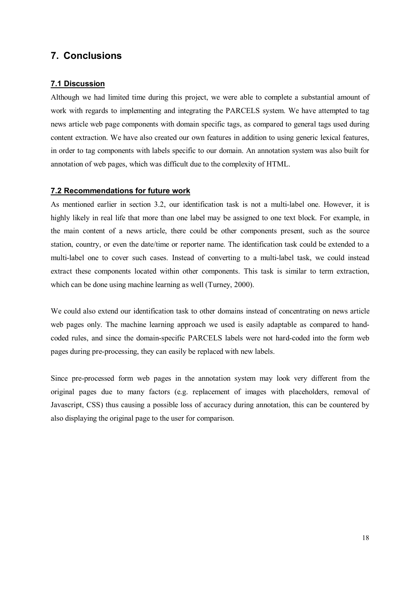## **7. Conclusions**

### **7.1 Discussion**

Although we had limited time during this project, we were able to complete a substantial amount of work with regards to implementing and integrating the PARCELS system. We have attempted to tag news article web page components with domain specific tags, as compared to general tags used during content extraction. We have also created our own features in addition to using generic lexical features, in order to tag components with labels specific to our domain. An annotation system was also built for annotation of web pages, which was difficult due to the complexity of HTML.

### **7.2 Recommendations for future work**

As mentioned earlier in section 3.2, our identification task is not a multi-label one. However, it is highly likely in real life that more than one label may be assigned to one text block. For example, in the main content of a news article, there could be other components present, such as the source station, country, or even the date/time or reporter name. The identification task could be extended to a multi-label one to cover such cases. Instead of converting to a multi-label task, we could instead extract these components located within other components. This task is similar to term extraction, which can be done using machine learning as well (Turney, 2000).

We could also extend our identification task to other domains instead of concentrating on news article web pages only. The machine learning approach we used is easily adaptable as compared to handcoded rules, and since the domain-specific PARCELS labels were not hard-coded into the form web pages during pre-processing, they can easily be replaced with new labels.

Since pre-processed form web pages in the annotation system may look very different from the original pages due to many factors (e.g. replacement of images with placeholders, removal of Javascript, CSS) thus causing a possible loss of accuracy during annotation, this can be countered by also displaying the original page to the user for comparison.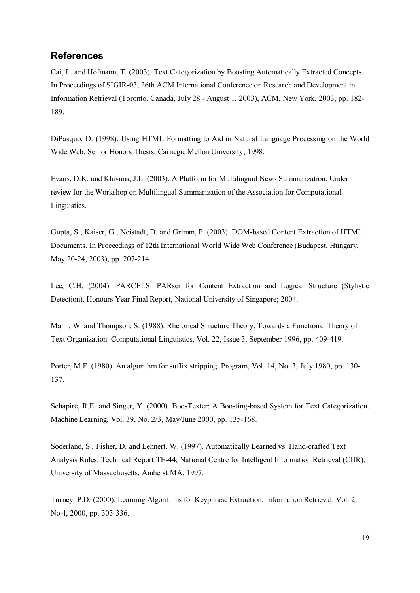### **References**

Cai, L. and Hofmann, T. (2003). Text Categorization by Boosting Automatically Extracted Concepts. In Proceedings of SIGIR-03, 26th ACM International Conference on Research and Development in Information Retrieval (Toronto, Canada, July 28 - August 1, 2003), ACM, New York, 2003, pp. 182- 189.

DiPasquo, D. (1998). Using HTML Formatting to Aid in Natural Language Processing on the World Wide Web. Senior Honors Thesis, Carnegie Mellon University; 1998.

Evans, D.K. and Klavans, J.L. (2003). A Platform for Multilingual News Summarization. Under review for the Workshop on Multilingual Summarization of the Association for Computational Linguistics.

Gupta, S., Kaiser, G., Neistadt, D. and Grimm, P. (2003). DOM-based Content Extraction of HTML Documents. In Proceedings of 12th International World Wide Web Conference (Budapest, Hungary, May 20-24, 2003), pp. 207-214.

Lee, C.H. (2004). PARCELS: PARser for Content Extraction and Logical Structure (Stylistic Detection). Honours Year Final Report, National University of Singapore; 2004.

Mann, W. and Thompson, S. (1988). Rhetorical Structure Theory: Towards a Functional Theory of Text Organization. Computational Linguistics, Vol. 22, Issue 3, September 1996, pp. 409-419.

Porter, M.F. (1980). An algorithm for suffix stripping. Program, Vol. 14, No. 3, July 1980, pp. 130- 137.

Schapire, R.E. and Singer, Y. (2000). BoosTexter: A Boosting-based System for Text Categorization. Machine Learning, Vol. 39, No. 2/3, May/June 2000, pp. 135-168.

Soderland, S., Fisher, D. and Lehnert, W. (1997). Automatically Learned vs. Hand-crafted Text Analysis Rules. Technical Report TE-44, National Centre for Intelligent Information Retrieval (CIIR), University of Massachusetts, Amherst MA, 1997.

Turney, P.D. (2000). Learning Algorithms for Keyphrase Extraction. Information Retrieval, Vol. 2, No 4, 2000, pp. 303-336.